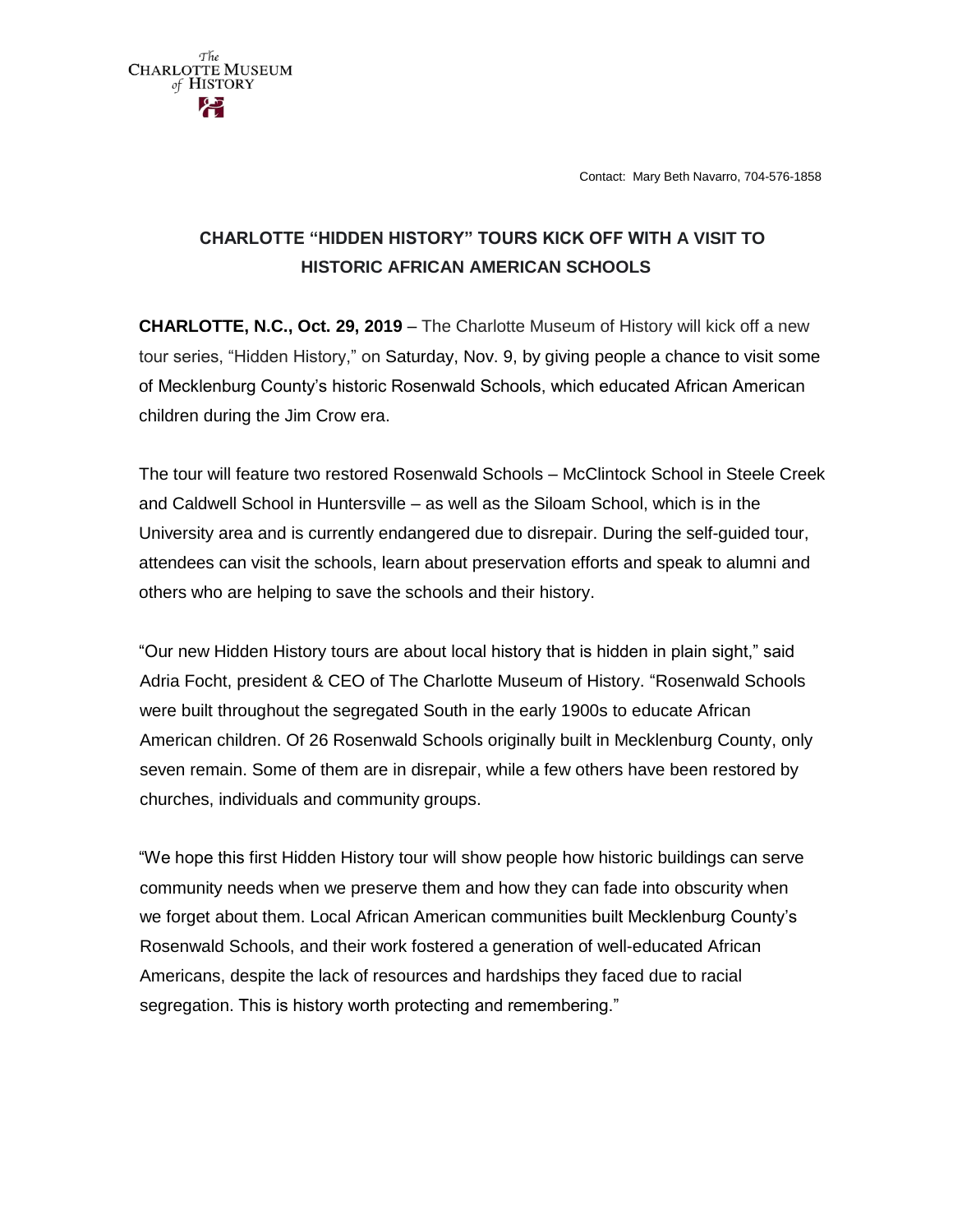Contact: Mary Beth Navarro, 704-576-1858



 $\tau$   $\tau_{he}$   $\tau_{He}$   $\tau_{HUSEUM}$ of HISTORY

**CHARLOTTE, N.C., Oct. 29, 2019** – The Charlotte Museum of History will kick off a new tour series, "Hidden History," on Saturday, Nov. 9, by giving people a chance to visit some of Mecklenburg County's historic Rosenwald Schools, which educated African American children during the Jim Crow era.

The tour will feature two restored Rosenwald Schools – McClintock School in Steele Creek and Caldwell School in Huntersville – as well as the Siloam School, which is in the University area and is currently endangered due to disrepair. During the self-guided tour, attendees can visit the schools, learn about preservation efforts and speak to alumni and others who are helping to save the schools and their history.

"Our new Hidden History tours are about local history that is hidden in plain sight," said Adria Focht, president & CEO of The Charlotte Museum of History. "Rosenwald Schools were built throughout the segregated South in the early 1900s to educate African American children. Of 26 Rosenwald Schools originally built in Mecklenburg County, only seven remain. Some of them are in disrepair, while a few others have been restored by churches, individuals and community groups.

"We hope this first Hidden History tour will show people how historic buildings can serve community needs when we preserve them and how they can fade into obscurity when we forget about them. Local African American communities built Mecklenburg County's Rosenwald Schools, and their work fostered a generation of well-educated African Americans, despite the lack of resources and hardships they faced due to racial segregation. This is history worth protecting and remembering."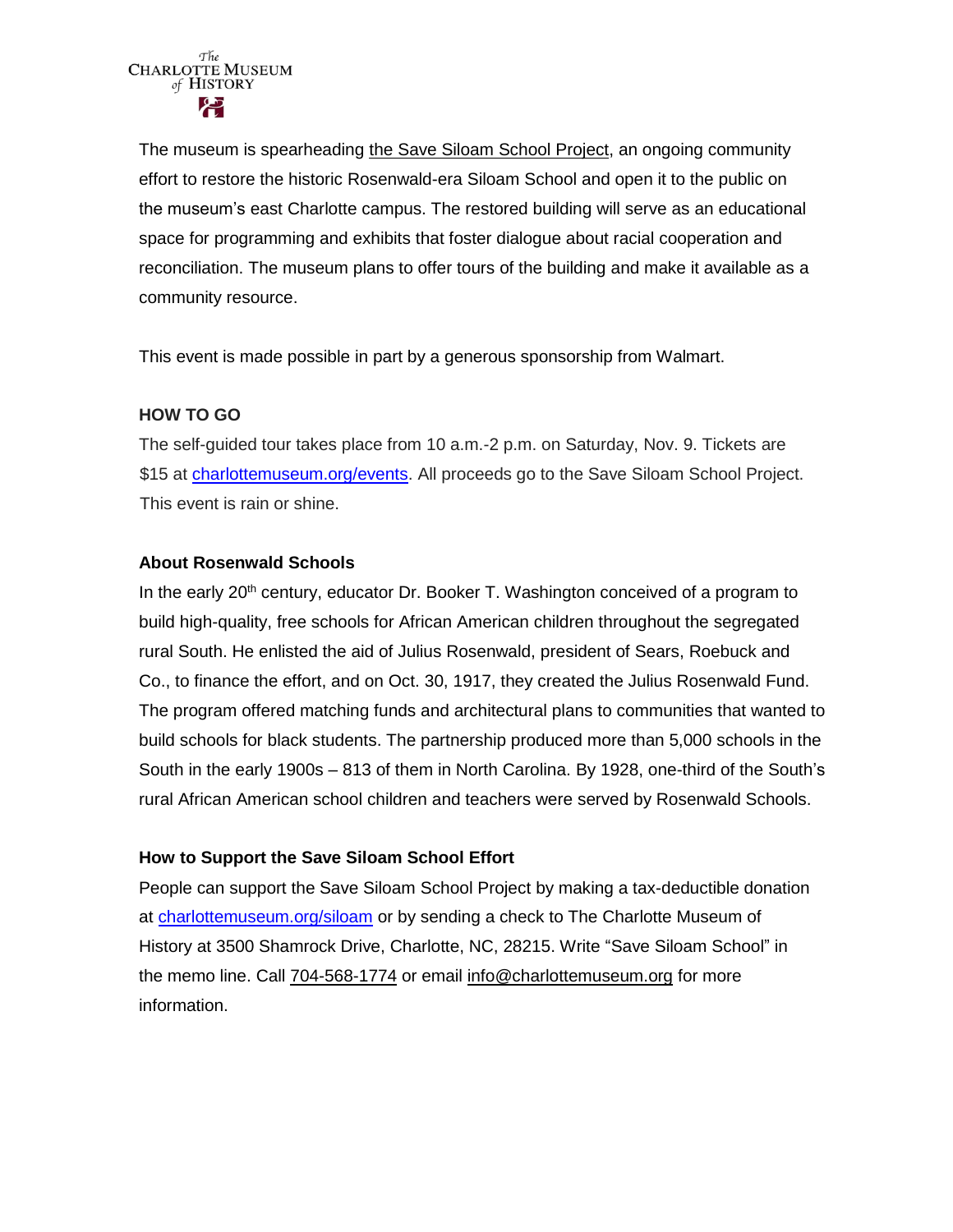

The museum is spearheading [the Save Siloam School Project,](http://charlottemuseum.org/siloam/) an ongoing community effort to restore the historic Rosenwald-era Siloam School and open it to the public on the museum's east Charlotte campus. The restored building will serve as an educational space for programming and exhibits that foster dialogue about racial cooperation and reconciliation. The museum plans to offer tours of the building and make it available as a community resource.

This event is made possible in part by a generous sponsorship from Walmart.

## **HOW TO GO**

The self-guided tour takes place from 10 a.m.-2 p.m. on Saturday, Nov. 9. Tickets are \$15 at [charlottemuseum.org/events.](http://charlottemuseum.org/tc-events/hidden-history-mecklenburgs-rosenwald-schools/) All proceeds go to the Save Siloam School Project. This event is rain or shine.

## **About Rosenwald Schools**

In the early  $20<sup>th</sup>$  century, educator Dr. Booker T. Washington conceived of a program to build high-quality, free schools for African American children throughout the segregated rural South. He enlisted the aid of Julius Rosenwald, president of Sears, Roebuck and Co., to finance the effort, and on Oct. 30, 1917, they created the Julius Rosenwald Fund. The program offered matching funds and architectural plans to communities that wanted to build schools for black students. The partnership produced more than 5,000 schools in the South in the early 1900s – 813 of them in North Carolina. By 1928, one-third of the South's rural African American school children and teachers were served by Rosenwald Schools.

## **How to Support the Save Siloam School Effort**

People can support the Save Siloam School Project by making a tax-deductible donation at [charlottemuseum.org/siloam](http://charlottemuseum.org/siloam/) or by sending a check to The Charlotte Museum of History at 3500 Shamrock Drive, Charlotte, NC, 28215. Write "Save Siloam School" in the memo line. Call [704-568-1774](tel:%28704%29%20568-1774) or email [info@charlottemuseum.org](mailto:info@charlottemuseum.org) for more information.